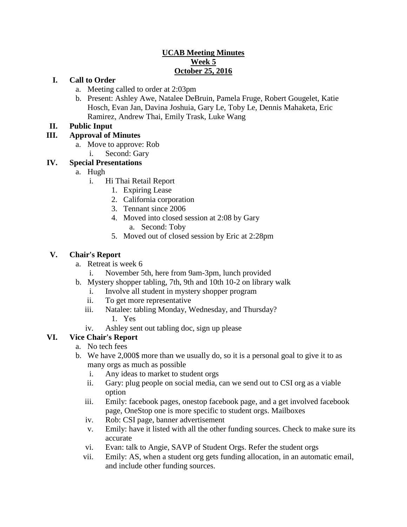### **UCAB Meeting Minutes Week 5 October 25, 2016**

### **I. Call to Order**

- a. Meeting called to order at 2:03pm
- b. Present: Ashley Awe, Natalee DeBruin, Pamela Fruge, Robert Gougelet, Katie Hosch, Evan Jan, Davina Joshuia, Gary Le, Toby Le, Dennis Mahaketa, Eric Ramirez, Andrew Thai, Emily Trask, Luke Wang

### **II. Public Input**

# **III. Approval of Minutes**

- a. Move to approve: Rob
	- i. Second: Gary

# **IV. Special Presentations**

- a. Hugh
	- i. Hi Thai Retail Report
		- 1. Expiring Lease
		- 2. California corporation
		- 3. Tennant since 2006
		- 4. Moved into closed session at 2:08 by Gary a. Second: Toby
		- 5. Moved out of closed session by Eric at 2:28pm

# **V. Chair's Report**

- a. Retreat is week 6
	- i. November 5th, here from 9am-3pm, lunch provided
- b. Mystery shopper tabling, 7th, 9th and 10th 10-2 on library walk
	- i. Involve all student in mystery shopper program
	- ii. To get more representative
	- iii. Natalee: tabling Monday, Wednesday, and Thursday? 1. Yes
	- iv. Ashley sent out tabling doc, sign up please
- **VI. Vice Chair's Report**
	- a. No tech fees
	- b. We have 2,000\$ more than we usually do, so it is a personal goal to give it to as many orgs as much as possible
		- i. Any ideas to market to student orgs
		- ii. Gary: plug people on social media, can we send out to CSI org as a viable option
		- iii. Emily: facebook pages, onestop facebook page, and a get involved facebook page, OneStop one is more specific to student orgs. Mailboxes
		- iv. Rob: CSI page, banner advertisement
		- v. Emily: have it listed with all the other funding sources. Check to make sure its accurate
		- vi. Evan: talk to Angie, SAVP of Student Orgs. Refer the student orgs
		- vii. Emily: AS, when a student org gets funding allocation, in an automatic email, and include other funding sources.